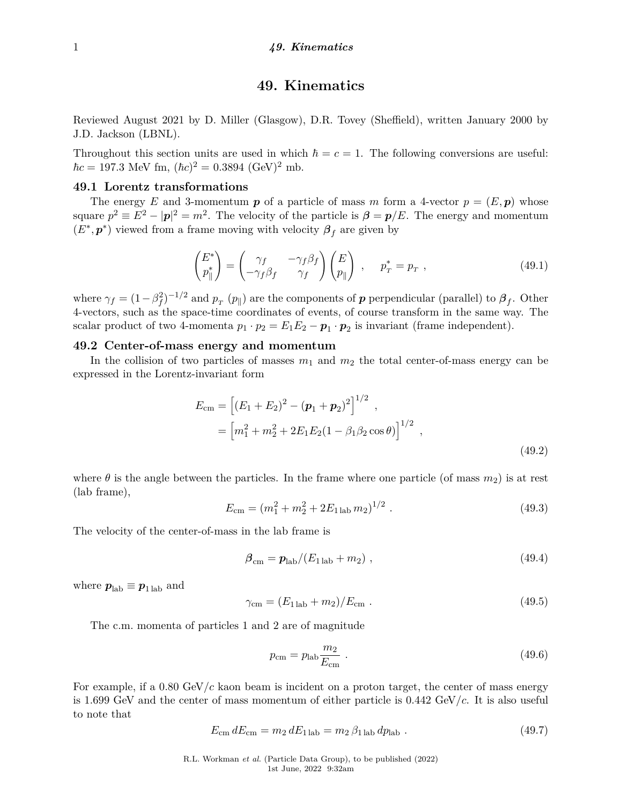# **49. Kinematics**

Reviewed August 2021 by D. Miller (Glasgow), D.R. Tovey (Sheffield), written January 2000 by J.D. Jackson (LBNL).

Throughout this section units are used in which  $\hbar = c = 1$ . The following conversions are useful:  $\hbar c = 197.3 \text{ MeV fm}, (\hbar c)^2 = 0.3894 \text{ (GeV)}^2 \text{ mb}.$ 

# **49.1 Lorentz transformations**

The energy *E* and 3-momentum  $p$  of a particle of mass *m* form a 4-vector  $p = (E, p)$  whose square  $p^2 \equiv E^2 - |\mathbf{p}|^2 = m^2$ . The velocity of the particle is  $\beta = \mathbf{p}/E$ . The energy and momentum  $(E^*, p^*)$  viewed from a frame moving with velocity  $\beta_f$  are given by

$$
\begin{pmatrix} E^* \\ p_{\parallel}^* \end{pmatrix} = \begin{pmatrix} \gamma_f & -\gamma_f \beta_f \\ -\gamma_f \beta_f & \gamma_f \end{pmatrix} \begin{pmatrix} E \\ p_{\parallel} \end{pmatrix} , \quad p_T^* = p_T , \qquad (49.1)
$$

where  $\gamma_f = (1 - \beta_f^2)^{-1/2}$  and  $p_T(p_{\parallel})$  are the components of *p* perpendicular (parallel) to  $\beta_f$ . Other 4-vectors, such as the space-time coordinates of events, of course transform in the same way. The scalar product of two 4-momenta  $p_1 \cdot p_2 = E_1 E_2 - \boldsymbol{p}_1 \cdot \boldsymbol{p}_2$  is invariant (frame independent).

# **49.2 Center-of-mass energy and momentum**

In the collision of two particles of masses  $m_1$  and  $m_2$  the total center-of-mass energy can be expressed in the Lorentz-invariant form

$$
E_{\rm cm} = \left[ (E_1 + E_2)^2 - (\boldsymbol{p}_1 + \boldsymbol{p}_2)^2 \right]^{1/2} ,
$$
  
=  $\left[ m_1^2 + m_2^2 + 2E_1 E_2 (1 - \beta_1 \beta_2 \cos \theta) \right]^{1/2} ,$  (49.2)

where  $\theta$  is the angle between the particles. In the frame where one particle (of mass  $m_2$ ) is at rest (lab frame),

$$
E_{\rm cm} = (m_1^2 + m_2^2 + 2E_{1\,\rm lab} \, m_2)^{1/2} \,. \tag{49.3}
$$

The velocity of the center-of-mass in the lab frame is

$$
\beta_{\rm cm} = p_{\rm lab} / (E_{1 \rm lab} + m_2) \,, \tag{49.4}
$$

where  $p_{\text{lab}} \equiv p_{1 \text{lab}}$  and

$$
\gamma_{\rm cm} = (E_{1\,\rm lab} + m_2)/E_{\rm cm} \ . \tag{49.5}
$$

The c.m. momenta of particles 1 and 2 are of magnitude

$$
p_{\rm cm} = p_{\rm lab} \frac{m_2}{E_{\rm cm}} \,. \tag{49.6}
$$

For example, if a  $0.80 \text{ GeV}/c$  kaon beam is incident on a proton target, the center of mass energy is 1.699 GeV and the center of mass momentum of either particle is 0.442 GeV/*c*. It is also useful to note that

$$
E_{\rm cm} dE_{\rm cm} = m_2 dE_{1 \rm lab} = m_2 \beta_{1 \rm lab} dp_{\rm lab} . \qquad (49.7)
$$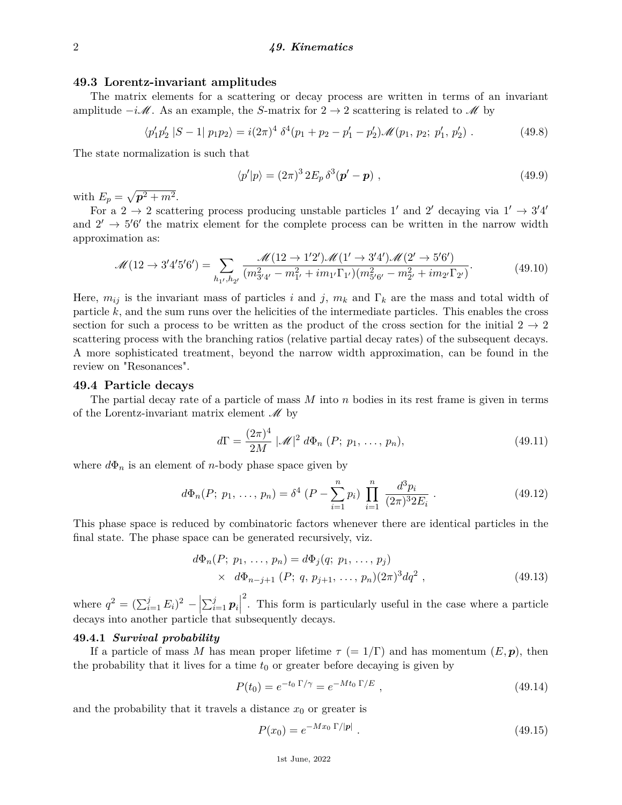# **49.3 Lorentz-invariant amplitudes**

The matrix elements for a scattering or decay process are written in terms of an invariant amplitude  $-i\mathscr{M}$ . As an example, the *S*-matrix for  $2 \rightarrow 2$  scattering is related to  $\mathscr{M}$  by

$$
\langle p_1' p_2' | S - 1 | p_1 p_2 \rangle = i(2\pi)^4 \, \delta^4(p_1 + p_2 - p_1' - p_2') \mathscr{M}(p_1, p_2; p_1', p_2') \,. \tag{49.8}
$$

The state normalization is such that

$$
\langle p'|p\rangle = (2\pi)^3 2E_p \,\delta^3(\mathbf{p}' - \mathbf{p})\;, \tag{49.9}
$$

with  $E_p = \sqrt{p^2 + m^2}$ .

For a 2  $\rightarrow$  2 scattering process producing unstable particles 1' and 2' decaying via 1'  $\rightarrow$  3'4' and  $2' \rightarrow 5'6'$  the matrix element for the complete process can be written in the narrow width approximation as:

$$
\mathcal{M}(12 \to 3'4'5'6') = \sum_{h_1, h_2'} \frac{\mathcal{M}(12 \to 1'2')\mathcal{M}(1' \to 3'4')\mathcal{M}(2' \to 5'6')}{(m_{3'4'}^2 - m_{1'}^2 + im_{1'}\Gamma_{1'}) (m_{5'6'}^2 - m_{2'}^2 + im_{2'}\Gamma_{2'})}.
$$
(49.10)

Here,  $m_{ij}$  is the invariant mass of particles *i* and *j*,  $m_k$  and  $\Gamma_k$  are the mass and total width of particle *k*, and the sum runs over the helicities of the intermediate particles. This enables the cross section for such a process to be written as the product of the cross section for the initial  $2 \rightarrow 2$ scattering process with the branching ratios (relative partial decay rates) of the subsequent decays. A more sophisticated treatment, beyond the narrow width approximation, can be found in the review on "Resonances".

### **49.4 Particle decays**

The partial decay rate of a particle of mass *M* into *n* bodies in its rest frame is given in terms of the Lorentz-invariant matrix element  $\mathcal M$  by

$$
d\Gamma = \frac{(2\pi)^4}{2M} |\mathcal{M}|^2 d\Phi_n (P; p_1, \dots, p_n), \qquad (49.11)
$$

where  $d\Phi_n$  is an element of *n*-body phase space given by

$$
d\Phi_n(P; p_1, \dots, p_n) = \delta^4 \left( P - \sum_{i=1}^n p_i \right) \prod_{i=1}^n \frac{d^3 p_i}{(2\pi)^3 2E_i} \,. \tag{49.12}
$$

This phase space is reduced by combinatoric factors whenever there are identical particles in the final state. The phase space can be generated recursively, viz.

$$
d\Phi_n(P; p_1, \ldots, p_n) = d\Phi_j(q; p_1, \ldots, p_j)
$$
  
 
$$
\times d\Phi_{n-j+1}(P; q, p_{j+1}, \ldots, p_n) (2\pi)^3 dq^2 , \qquad (49.13)
$$

where  $q^2 = (\sum_{i=1}^j E_i)^2 - \left| \sum_{i=1}^j p_i \right|$ 2 . This form is particularly useful in the case where a particle decays into another particle that subsequently decays.

# **49.4.1** *Survival probability*

If a particle of mass M has mean proper lifetime  $\tau$  (= 1/Γ) and has momentum  $(E, \mathbf{p})$ , then the probability that it lives for a time  $t_0$  or greater before decaying is given by

$$
P(t_0) = e^{-t_0 \Gamma/\gamma} = e^{-Mt_0 \Gamma/E} , \qquad (49.14)
$$

and the probability that it travels a distance  $x_0$  or greater is

$$
P(x_0) = e^{-Mx_0 \Gamma/|\mathbf{p}|} \tag{49.15}
$$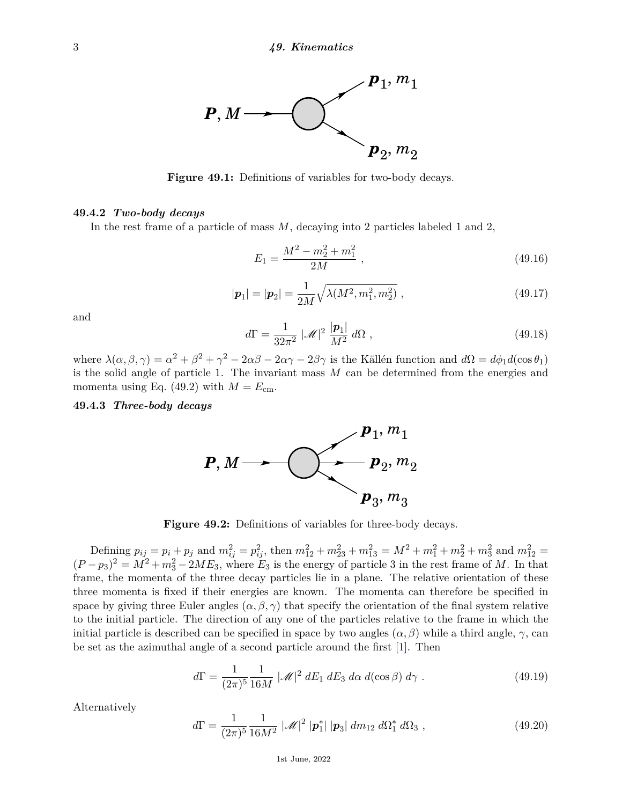

Figure 49.1: Definitions of variables for two-body decays.

### **49.4.2** *Two-body decays*

In the rest frame of a particle of mass *M*, decaying into 2 particles labeled 1 and 2,

$$
E_1 = \frac{M^2 - m_2^2 + m_1^2}{2M} \,,\tag{49.16}
$$

$$
|\mathbf{p}_1| = |\mathbf{p}_2| = \frac{1}{2M} \sqrt{\lambda(M^2, m_1^2, m_2^2)} , \qquad (49.17)
$$

and

$$
d\Gamma = \frac{1}{32\pi^2} |\mathcal{M}|^2 \frac{|\mathbf{p}_1|}{M^2} d\Omega , \qquad (49.18)
$$

where  $\lambda(\alpha, \beta, \gamma) = \alpha^2 + \beta^2 + \gamma^2 - 2\alpha\beta - 2\alpha\gamma - 2\beta\gamma$  is the Källén function and  $d\Omega = d\phi_1 d(\cos\theta_1)$ is the solid angle of particle 1. The invariant mass *M* can be determined from the energies and momenta using Eq. (49.2) with  $M = E_{cm}$ .

**49.4.3** *Three-body decays*



**Figure 49.2:** Definitions of variables for three-body decays.

Defining  $p_{ij} = p_i + p_j$  and  $m_{ij}^2 = p_{ij}^2$ , then  $m_{12}^2 + m_{23}^2 + m_{13}^2 = M^2 + m_1^2 + m_2^2 + m_3^2$  and  $m_{12}^2 =$  $(P - p_3)^2 = M^2 + m_3^2 - 2ME_3$ , where  $E_3$  is the energy of particle 3 in the rest frame of *M*. In that frame, the momenta of the three decay particles lie in a plane. The relative orientation of these three momenta is fixed if their energies are known. The momenta can therefore be specified in space by giving three Euler angles  $(\alpha, \beta, \gamma)$  that specify the orientation of the final system relative to the initial particle. The direction of any one of the particles relative to the frame in which the initial particle is described can be specified in space by two angles  $(\alpha, \beta)$  while a third angle,  $\gamma$ , can be set as the azimuthal angle of a second particle around the first [\[1\]](#page-8-0). Then

$$
d\Gamma = \frac{1}{(2\pi)^5} \frac{1}{16M} |\mathcal{M}|^2 dE_1 dE_3 d\alpha d(\cos\beta) d\gamma.
$$
 (49.19)

Alternatively

$$
d\Gamma = \frac{1}{(2\pi)^5} \frac{1}{16M^2} |\mathscr{M}|^2 |\mathbf{p}_1^*| |\mathbf{p}_3| dm_{12} d\Omega_1^* d\Omega_3 , \qquad (49.20)
$$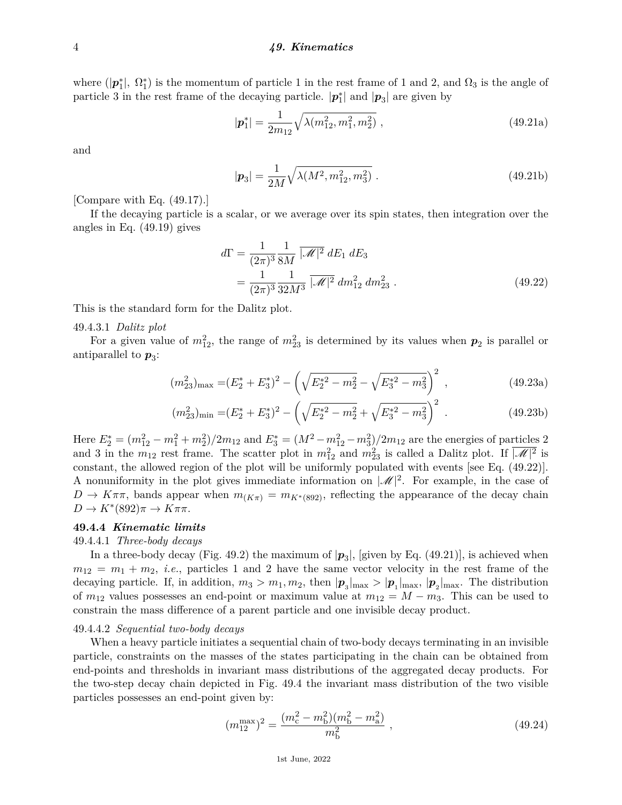where  $(|p_1^*|, \Omega_1^*)$  is the momentum of particle 1 in the rest frame of 1 and 2, and  $\Omega_3$  is the angle of particle 3 in the rest frame of the decaying particle.  $|\mathbf{p}_1^*|$  and  $|\mathbf{p}_3|$  are given by

$$
|\mathbf{p}_1^*| = \frac{1}{2m_{12}} \sqrt{\lambda(m_{12}^2, m_1^2, m_2^2)} , \qquad (49.21a)
$$

and

$$
|\mathbf{p}_3| = \frac{1}{2M} \sqrt{\lambda(M^2, m_{12}^2, m_3^2)} . \tag{49.21b}
$$

[Compare with Eq. (49.17).]

If the decaying particle is a scalar, or we average over its spin states, then integration over the angles in Eq. (49.19) gives

$$
d\Gamma = \frac{1}{(2\pi)^3} \frac{1}{8M} \overline{|\mathcal{M}|^2} \, dE_1 \, dE_3
$$
  
= 
$$
\frac{1}{(2\pi)^3} \frac{1}{32M^3} \overline{|\mathcal{M}|^2} \, dm_{12}^2 \, dm_{23}^2 .
$$
 (49.22)

This is the standard form for the Dalitz plot.

## 49.4.3.1 *Dalitz plot*

For a given value of  $m_{12}^2$ , the range of  $m_{23}^2$  is determined by its values when  $p_2$  is parallel or antiparallel to  $p_3$ :

$$
(m_{23}^2)_{\text{max}} = (E_2^* + E_3^*)^2 - \left(\sqrt{E_2^*^2 - m_2^2} - \sqrt{E_3^*^2 - m_3^2}\right)^2,
$$
\n(49.23a)

$$
(m_{23}^2)_{\min} = (E_2^* + E_3^*)^2 - \left(\sqrt{E_2^{*2} - m_2^2} + \sqrt{E_3^{*2} - m_3^2}\right)^2 \tag{49.23b}
$$

Here  $E_2^* = (m_{12}^2 - m_1^2 + m_2^2)/2m_{12}$  and  $E_3^* = (M^2 - m_{12}^2 - m_3^2)/2m_{12}$  are the energies of particles 2 and 3 in the  $m_{12}$  rest frame. The scatter plot in  $m_{12}^2$  and  $m_{23}^2$  is called a Dalitz plot. If  $\sqrt{M}|^2$  is constant, the allowed region of the plot will be uniformly populated with events [see Eq. (49.22)]. A nonuniformity in the plot gives immediate information on  $|\mathcal{M}|^2$ . For example, in the case of  $D \to K\pi\pi$ , bands appear when  $m_{(K\pi)} = m_{K^*(892)}$ , reflecting the appearance of the decay chain  $D \to K^*(892)\pi \to K\pi\pi$ .

# **49.4.4** *Kinematic limits*

# 49.4.4.1 *Three-body decays*

In a three-body decay (Fig. 49.2) the maximum of  $|p_3|$ , [given by Eq. (49.21)], is achieved when  $m_{12} = m_1 + m_2$ , *i.e.*, particles 1 and 2 have the same vector velocity in the rest frame of the decaying particle. If, in addition,  $m_3 > m_1, m_2$ , then  $|\boldsymbol{p}_3|_{\text{max}} > |\boldsymbol{p}_1|_{\text{max}}$ ,  $|\boldsymbol{p}_2|_{\text{max}}$ . The distribution of  $m_{12}$  values possesses an end-point or maximum value at  $m_{12} = M - m_3$ . This can be used to constrain the mass difference of a parent particle and one invisible decay product.

#### 49.4.4.2 *Sequential two-body decays*

When a heavy particle initiates a sequential chain of two-body decays terminating in an invisible particle, constraints on the masses of the states participating in the chain can be obtained from end-points and thresholds in invariant mass distributions of the aggregated decay products. For the two-step decay chain depicted in Fig. 49.4 the invariant mass distribution of the two visible particles possesses an end-point given by:

$$
(m_{12}^{\max})^2 = \frac{(m_c^2 - m_b^2)(m_b^2 - m_a^2)}{m_b^2} \,, \tag{49.24}
$$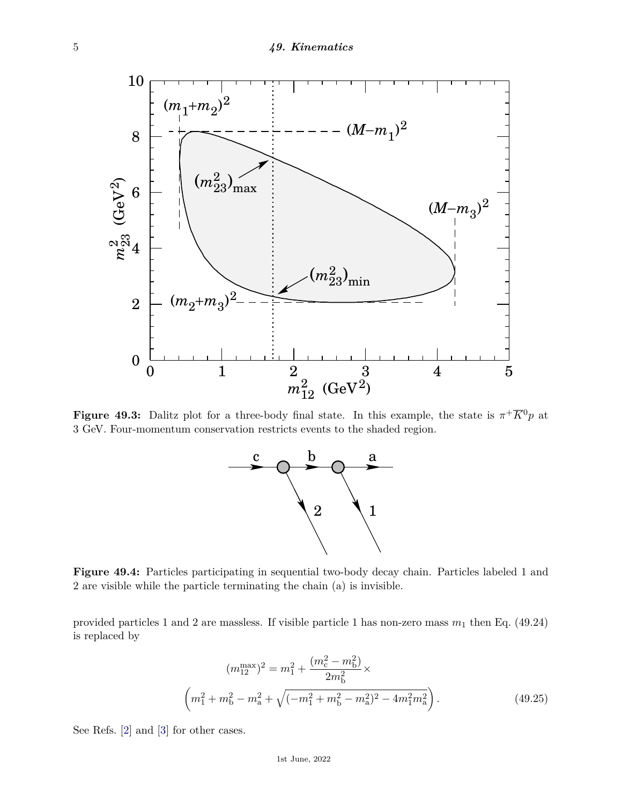

**Figure 49.3:** Dalitz plot for a three-body final state. In this example, the state is  $\pi^{+}\overline{K}^{0}p$  at 3 GeV. Four-momentum conservation restricts events to the shaded region.



**Figure 49.4:** Particles participating in sequential two-body decay chain. Particles labeled 1 and 2 are visible while the particle terminating the chain (a) is invisible.

provided particles 1 and 2 are massless. If visible particle 1 has non-zero mass  $m_1$  then Eq. (49.24) is replaced by

$$
(m_{12}^{\max})^2 = m_1^2 + \frac{(m_c^2 - m_b^2)}{2m_b^2} \times \left(m_1^2 + m_b^2 - m_a^2 + \sqrt{(-m_1^2 + m_b^2 - m_a^2)^2 - 4m_1^2 m_a^2}\right).
$$
 (49.25)

See Refs. [\[2\]](#page-8-1) and [\[3\]](#page-9-0) for other cases.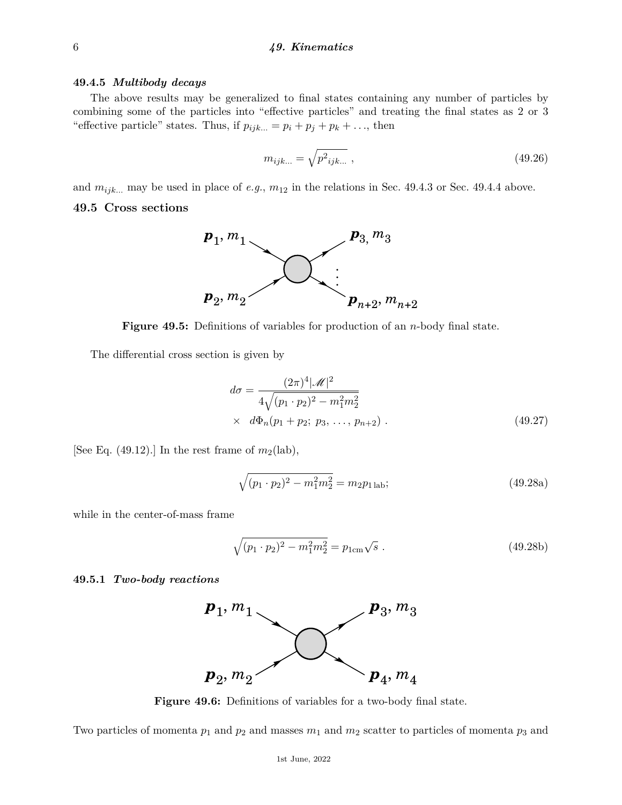#### **49.4.5** *Multibody decays*

The above results may be generalized to final states containing any number of particles by combining some of the particles into "effective particles" and treating the final states as 2 or 3 "effective particle" states. Thus, if  $p_{ijk...} = p_i + p_j + p_k + \ldots$ , then

$$
m_{ijk...} = \sqrt{p^2_{ijk...}} \,, \tag{49.26}
$$

and  $m_{ijk...}$  may be used in place of *e.g.*,  $m_{12}$  in the relations in Sec. 49.4.3 or Sec. 49.4.4 above.

# **49.5 Cross sections**



**Figure 49.5:** Definitions of variables for production of an *n*-body final state.

The differential cross section is given by

$$
d\sigma = \frac{(2\pi)^4 |\mathcal{M}|^2}{4\sqrt{(p_1 \cdot p_2)^2 - m_1^2 m_2^2}}
$$
  
  $\times d\Phi_n(p_1 + p_2; p_3, \dots, p_{n+2}).$  (49.27)

[See Eq.  $(49.12)$ .] In the rest frame of  $m_2(\text{lab})$ ,

$$
\sqrt{(p_1 \cdot p_2)^2 - m_1^2 m_2^2} = m_2 p_{1 \text{ lab}};
$$
\n(49.28a)

while in the center-of-mass frame

$$
\sqrt{(p_1 \cdot p_2)^2 - m_1^2 m_2^2} = p_{1\text{cm}}\sqrt{s} \tag{49.28b}
$$

#### **49.5.1** *Two-body reactions*



**Figure 49.6:** Definitions of variables for a two-body final state.

Two particles of momenta  $p_1$  and  $p_2$  and masses  $m_1$  and  $m_2$  scatter to particles of momenta  $p_3$  and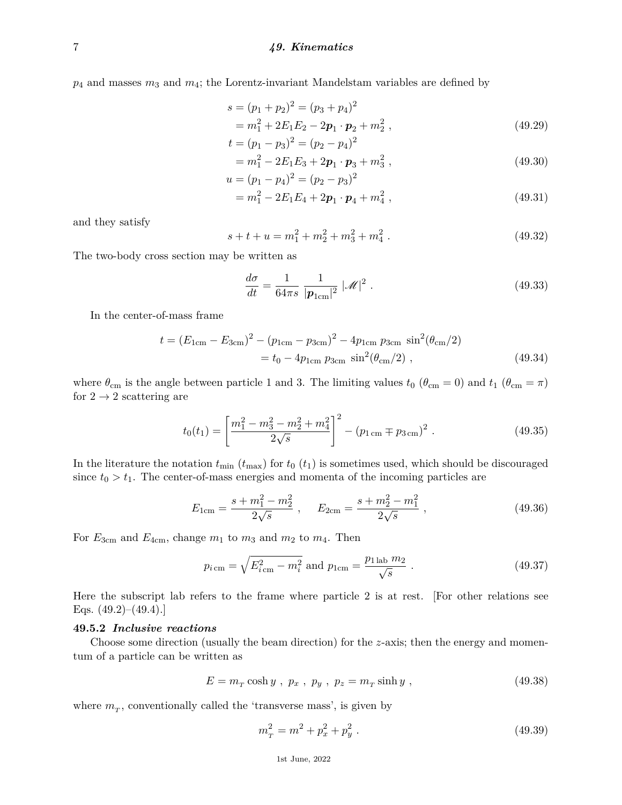*p*<sup>4</sup> and masses *m*<sup>3</sup> and *m*4; the Lorentz-invariant Mandelstam variables are defined by

$$
s = (p_1 + p_2)^2 = (p_3 + p_4)^2
$$
  
=  $m_1^2 + 2E_1E_2 - 2p_1 \cdot p_2 + m_2^2$ , (49.29)

$$
t = (p_1 - p_3)^2 = (p_2 - p_4)^2
$$
  
=  $m_1^2 - 2E_1E_3 + 2\mathbf{p}_1 \cdot \mathbf{p}_3 + m_3^2$ , (49.30)

$$
= m_1 - 2E_1E_3 + 2p_1 \cdot p_3 + m_3 ,
$$
\n
$$
u = (p_1 - p_4)^2 = (p_2 - p_3)^2
$$
\n(49.30)

$$
= m_1^2 - 2E_1E_4 + 2\mathbf{p}_1 \cdot \mathbf{p}_4 + m_4^2 \,, \tag{49.31}
$$

and they satisfy

$$
s + t + u = m_1^2 + m_2^2 + m_3^2 + m_4^2
$$
 (49.32)

The two-body cross section may be written as

$$
\frac{d\sigma}{dt} = \frac{1}{64\pi s} \frac{1}{|\boldsymbol{p}_{1\text{cm}}|^2} |\mathcal{M}|^2.
$$
\n(49.33)

In the center-of-mass frame

$$
t = (E_{1cm} - E_{3cm})^2 - (p_{1cm} - p_{3cm})^2 - 4p_{1cm} p_{3cm} \sin^2(\theta_{cm}/2)
$$
  
=  $t_0 - 4p_{1cm} p_{3cm} \sin^2(\theta_{cm}/2)$ , (49.34)

where  $\theta_{\rm cm}$  is the angle between particle 1 and 3. The limiting values  $t_0$  ( $\theta_{\rm cm} = 0$ ) and  $t_1$  ( $\theta_{\rm cm} = \pi$ ) for  $2 \rightarrow 2$  scattering are

$$
t_0(t_1) = \left[\frac{m_1^2 - m_3^2 - m_2^2 + m_4^2}{2\sqrt{s}}\right]^2 - (p_{1\,\text{cm}} \mp p_{3\,\text{cm}})^2 \tag{49.35}
$$

In the literature the notation  $t_{\min}$  ( $t_{\max}$ ) for  $t_0$  ( $t_1$ ) is sometimes used, which should be discouraged since  $t_0 > t_1$ . The center-of-mass energies and momenta of the incoming particles are

$$
E_{1cm} = \frac{s + m_1^2 - m_2^2}{2\sqrt{s}} , \quad E_{2cm} = \frac{s + m_2^2 - m_1^2}{2\sqrt{s}} , \qquad (49.36)
$$

For  $E_{3cm}$  and  $E_{4cm}$ , change  $m_1$  to  $m_3$  and  $m_2$  to  $m_4$ . Then

$$
p_{i \text{ cm}} = \sqrt{E_{i \text{ cm}}^2 - m_i^2} \text{ and } p_{1 \text{ cm}} = \frac{p_{1 \text{ lab}} \, m_2}{\sqrt{s}} \,. \tag{49.37}
$$

Here the subscript lab refers to the frame where particle 2 is at rest. [For other relations see Eqs.  $(49.2)$ – $(49.4)$ .]

# **49.5.2** *Inclusive reactions*

Choose some direction (usually the beam direction) for the *z*-axis; then the energy and momentum of a particle can be written as

$$
E = mT \cosh y, px, py, pz = mT \sinh y,
$$
\n(49.38)

where  $m_T$ , conventionally called the 'transverse mass', is given by

$$
mT2 = m2 + px2 + py2 \t\t(49.39)
$$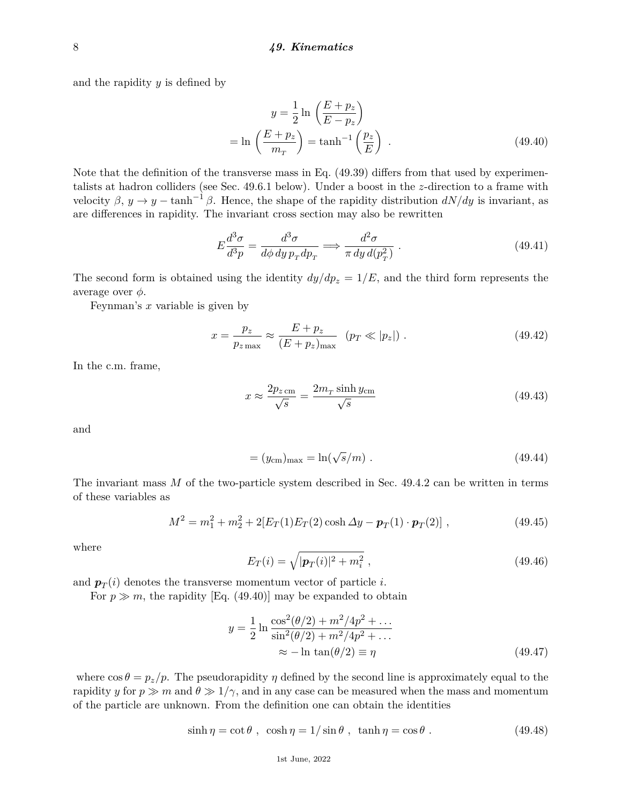and the rapidity *y* is defined by

$$
y = \frac{1}{2} \ln \left( \frac{E + p_z}{E - p_z} \right)
$$
  
=  $\ln \left( \frac{E + p_z}{m_T} \right) = \tanh^{-1} \left( \frac{p_z}{E} \right)$ . (49.40)

Note that the definition of the transverse mass in Eq. (49.39) differs from that used by experimentalists at hadron colliders (see Sec. 49.6.1 below). Under a boost in the *z*-direction to a frame with velocity  $\beta$ ,  $y \to y - \tanh^{-1} \beta$ . Hence, the shape of the rapidity distribution  $dN/dy$  is invariant, as are differences in rapidity. The invariant cross section may also be rewritten

$$
E\frac{d^3\sigma}{d^3p} = \frac{d^3\sigma}{d\phi\,dy\,p_T dp_T} \Longrightarrow \frac{d^2\sigma}{\pi\,dy\,d(p_T^2)}\ . \tag{49.41}
$$

The second form is obtained using the identity  $dy/dp_z = 1/E$ , and the third form represents the average over *φ*.

Feynman's *x* variable is given by

$$
x = \frac{p_z}{p_z_{\text{max}}} \approx \frac{E + p_z}{(E + p_z)_{\text{max}}} \quad (p_T \ll |p_z|) \tag{49.42}
$$

In the c.m. frame,

$$
x \approx \frac{2p_{z\,\text{cm}}}{\sqrt{s}} = \frac{2m_{T}\sinh y_{\text{cm}}}{\sqrt{s}}\tag{49.43}
$$

and

$$
= (ycm)max = \ln(\sqrt{s}/m). \qquad (49.44)
$$

The invariant mass *M* of the two-particle system described in Sec. 49.4.2 can be written in terms of these variables as

$$
M^{2} = m_{1}^{2} + m_{2}^{2} + 2[E_{T}(1)E_{T}(2)\cosh \Delta y - \boldsymbol{p}_{T}(1) \cdot \boldsymbol{p}_{T}(2)],
$$
\n(49.45)

where

$$
E_T(i) = \sqrt{|\mathbf{p}_T(i)|^2 + m_i^2} \,,\tag{49.46}
$$

and  $p_T(i)$  denotes the transverse momentum vector of particle *i*.

For  $p \gg m$ , the rapidity [Eq. (49.40)] may be expanded to obtain

$$
y = \frac{1}{2} \ln \frac{\cos^2(\theta/2) + m^2/4p^2 + \dots}{\sin^2(\theta/2) + m^2/4p^2 + \dots}
$$
  
 
$$
\approx -\ln \tan(\theta/2) \equiv \eta
$$
 (49.47)

where  $\cos \theta = p_z/p$ . The pseudorapidity  $\eta$  defined by the second line is approximately equal to the rapidity *y* for  $p \gg m$  and  $\theta \gg 1/\gamma$ , and in any case can be measured when the mass and momentum of the particle are unknown. From the definition one can obtain the identities

$$
\sinh \eta = \cot \theta , \ \cosh \eta = 1/\sin \theta , \ \tanh \eta = \cos \theta . \tag{49.48}
$$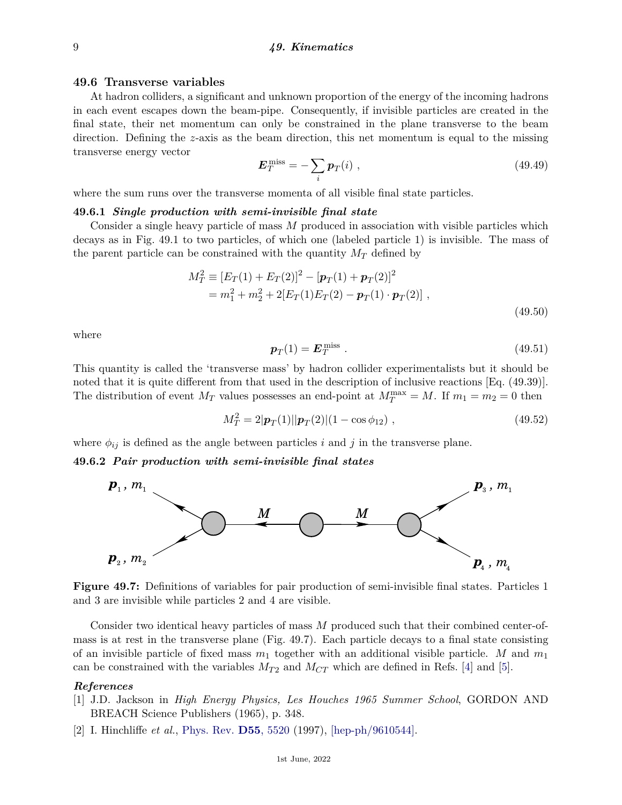### **49.6 Transverse variables**

At hadron colliders, a significant and unknown proportion of the energy of the incoming hadrons in each event escapes down the beam-pipe. Consequently, if invisible particles are created in the final state, their net momentum can only be constrained in the plane transverse to the beam direction. Defining the *z*-axis as the beam direction, this net momentum is equal to the missing transverse energy vector

$$
\boldsymbol{E}_T^{\text{miss}} = -\sum_i \boldsymbol{p}_T(i) \;, \tag{49.49}
$$

where the sum runs over the transverse momenta of all visible final state particles.

# **49.6.1** *Single production with semi-invisible final state*

Consider a single heavy particle of mass *M* produced in association with visible particles which decays as in Fig. 49.1 to two particles, of which one (labeled particle 1) is invisible. The mass of the parent particle can be constrained with the quantity  $M_T$  defined by

$$
M_T^2 \equiv [E_T(1) + E_T(2)]^2 - [\mathbf{p}_T(1) + \mathbf{p}_T(2)]^2
$$
  
=  $m_1^2 + m_2^2 + 2[E_T(1)E_T(2) - \mathbf{p}_T(1) \cdot \mathbf{p}_T(2)]$ , (49.50)

where

$$
\boldsymbol{p}_T(1) = \boldsymbol{E}_T^{\text{miss}} \ . \tag{49.51}
$$

This quantity is called the 'transverse mass' by hadron collider experimentalists but it should be noted that it is quite different from that used in the description of inclusive reactions [Eq. (49.39)]. The distribution of event  $M_T$  values possesses an end-point at  $M_T^{\max} = M$ . If  $m_1 = m_2 = 0$  then

$$
M_T^2 = 2|\mathbf{p}_T(1)||\mathbf{p}_T(2)|(1 - \cos \phi_{12}), \qquad (49.52)
$$

where  $\phi_{ij}$  is defined as the angle between particles *i* and *j* in the transverse plane.

#### **49.6.2** *Pair production with semi-invisible final states*



**Figure 49.7:** Definitions of variables for pair production of semi-invisible final states. Particles 1 and 3 are invisible while particles 2 and 4 are visible.

Consider two identical heavy particles of mass *M* produced such that their combined center-ofmass is at rest in the transverse plane (Fig. 49.7). Each particle decays to a final state consisting of an invisible particle of fixed mass *m*<sup>1</sup> together with an additional visible particle. *M* and *m*<sup>1</sup> can be constrained with the variables  $M_{T2}$  and  $M_{CT}$  which are defined in Refs. [\[4\]](#page-9-1) and [\[5\]](#page-9-2).

# <span id="page-8-0"></span>*References*

- [1] J.D. Jackson in *High Energy Physics, Les Houches 1965 Summer School*, GORDON AND BREACH Science Publishers (1965), p. 348.
- <span id="page-8-1"></span>[2] I. Hinchliffe *et al.*, [Phys. Rev.](http://doi.org/10.1103/PhysRevD.55.5520) **D55**[, 5520](http://doi.org/10.1103/PhysRevD.55.5520) (1997), [\[hep-ph/9610544\].](https://arxiv.org/abs/hep-ph/9610544)